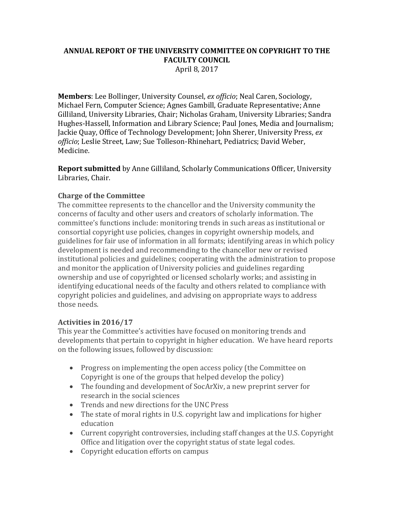## **ANNUAL REPORT OF THE UNIVERSITY COMMITTEE ON COPYRIGHT TO THE FACULTY COUNCIL** April 8, 2017

**Members**: Lee Bollinger, University Counsel, *ex officio*; Neal Caren, Sociology, Michael Fern, Computer Science; Agnes Gambill, Graduate Representative; Anne Gilliland, University Libraries, Chair; Nicholas Graham, University Libraries; Sandra Hughes-Hassell, Information and Library Science; Paul Jones, Media and Journalism; Jackie Quay, Office of Technology Development; John Sherer, University Press, *ex officio*; Leslie Street, Law; Sue Tolleson-Rhinehart, Pediatrics; David Weber, Medicine.

**Report submitted** by Anne Gilliland, Scholarly Communications Officer, University Libraries, Chair.

## **Charge of the Committee**

The committee represents to the chancellor and the University community the concerns of faculty and other users and creators of scholarly information. The committee's functions include: monitoring trends in such areas as institutional or consortial copyright use policies, changes in copyright ownership models, and guidelines for fair use of information in all formats; identifying areas in which policy development is needed and recommending to the chancellor new or revised institutional policies and guidelines; cooperating with the administration to propose and monitor the application of University policies and guidelines regarding ownership and use of copyrighted or licensed scholarly works; and assisting in identifying educational needs of the faculty and others related to compliance with copyright policies and guidelines, and advising on appropriate ways to address those needs.

## **Activities in 2016/17**

This year the Committee's activities have focused on monitoring trends and developments that pertain to copyright in higher education. We have heard reports on the following issues, followed by discussion:

- Progress on implementing the open access policy (the Committee on Copyright is one of the groups that helped develop the policy)
- The founding and development of SocArXiv, a new preprint server for research in the social sciences
- Trends and new directions for the UNC Press
- The state of moral rights in U.S. copyright law and implications for higher education
- Current copyright controversies, including staff changes at the U.S. Copyright Office and litigation over the copyright status of state legal codes.
- Copyright education efforts on campus